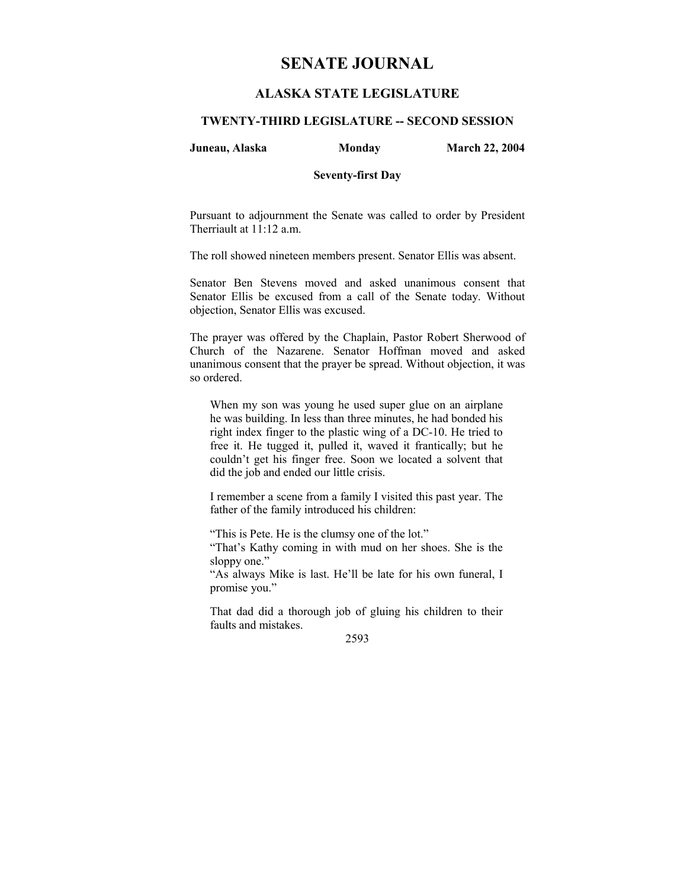# **SENATE JOURNAL**

# **ALASKA STATE LEGISLATURE**

## **TWENTY-THIRD LEGISLATURE -- SECOND SESSION**

#### **Juneau, Alaska Monday March 22, 2004**

#### **Seventy-first Day**

Pursuant to adjournment the Senate was called to order by President Therriault at 11:12 a.m.

The roll showed nineteen members present. Senator Ellis was absent.

Senator Ben Stevens moved and asked unanimous consent that Senator Ellis be excused from a call of the Senate today. Without objection, Senator Ellis was excused.

The prayer was offered by the Chaplain, Pastor Robert Sherwood of Church of the Nazarene. Senator Hoffman moved and asked unanimous consent that the prayer be spread. Without objection, it was so ordered.

When my son was young he used super glue on an airplane he was building. In less than three minutes, he had bonded his right index finger to the plastic wing of a DC-10. He tried to free it. He tugged it, pulled it, waved it frantically; but he couldn't get his finger free. Soon we located a solvent that did the job and ended our little crisis.

I remember a scene from a family I visited this past year. The father of the family introduced his children:

"This is Pete. He is the clumsy one of the lot."

"That's Kathy coming in with mud on her shoes. She is the sloppy one."

"As always Mike is last. He'll be late for his own funeral, I promise you."

That dad did a thorough job of gluing his children to their faults and mistakes.

2593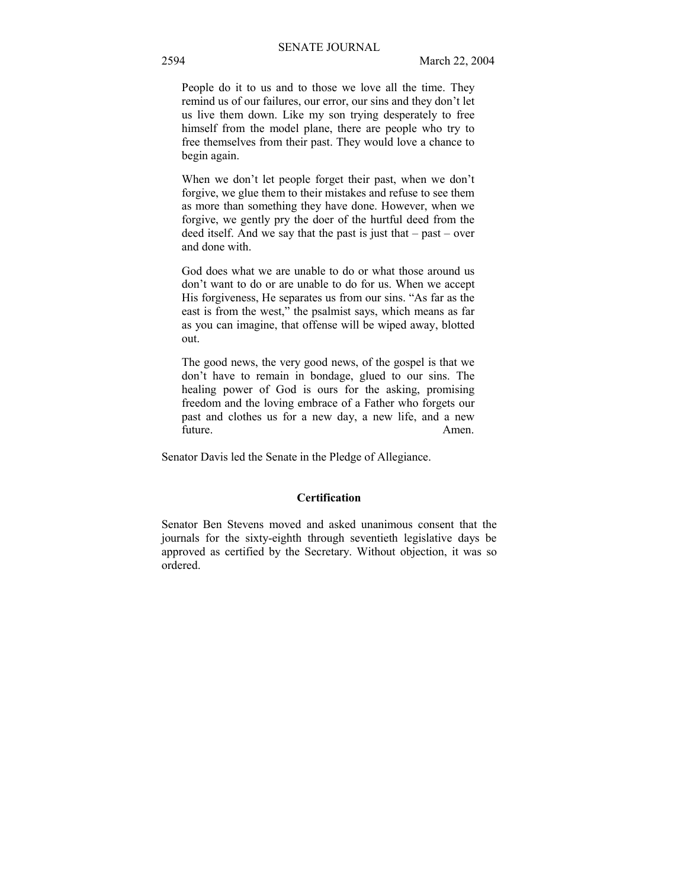People do it to us and to those we love all the time. They remind us of our failures, our error, our sins and they don't let us live them down. Like my son trying desperately to free himself from the model plane, there are people who try to free themselves from their past. They would love a chance to begin again.

When we don't let people forget their past, when we don't forgive, we glue them to their mistakes and refuse to see them as more than something they have done. However, when we forgive, we gently pry the doer of the hurtful deed from the deed itself. And we say that the past is just that  $-\text{past} - \text{over}$ and done with.

God does what we are unable to do or what those around us don't want to do or are unable to do for us. When we accept His forgiveness, He separates us from our sins. "As far as the east is from the west," the psalmist says, which means as far as you can imagine, that offense will be wiped away, blotted out.

The good news, the very good news, of the gospel is that we don't have to remain in bondage, glued to our sins. The healing power of God is ours for the asking, promising freedom and the loving embrace of a Father who forgets our past and clothes us for a new day, a new life, and a new future. Amen.

Senator Davis led the Senate in the Pledge of Allegiance.

#### **Certification**

Senator Ben Stevens moved and asked unanimous consent that the journals for the sixty-eighth through seventieth legislative days be approved as certified by the Secretary. Without objection, it was so ordered.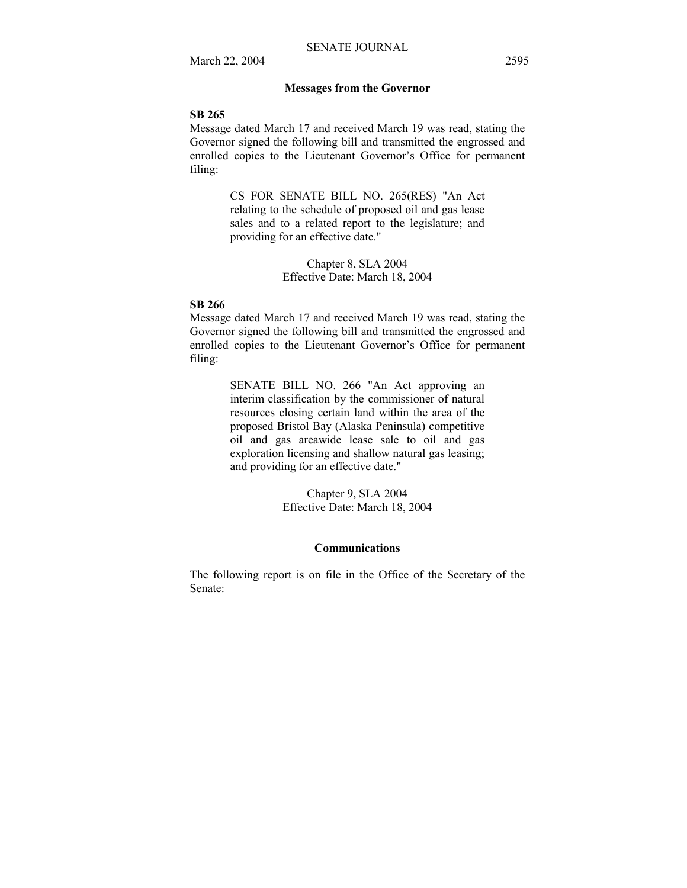#### **Messages from the Governor**

#### **SB 265**

Message dated March 17 and received March 19 was read, stating the Governor signed the following bill and transmitted the engrossed and enrolled copies to the Lieutenant Governor's Office for permanent filing:

> CS FOR SENATE BILL NO. 265(RES) "An Act relating to the schedule of proposed oil and gas lease sales and to a related report to the legislature; and providing for an effective date."

> > Chapter 8, SLA 2004 Effective Date: March 18, 2004

#### **SB 266**

Message dated March 17 and received March 19 was read, stating the Governor signed the following bill and transmitted the engrossed and enrolled copies to the Lieutenant Governor's Office for permanent filing:

> SENATE BILL NO. 266 "An Act approving an interim classification by the commissioner of natural resources closing certain land within the area of the proposed Bristol Bay (Alaska Peninsula) competitive oil and gas areawide lease sale to oil and gas exploration licensing and shallow natural gas leasing; and providing for an effective date."

> > Chapter 9, SLA 2004 Effective Date: March 18, 2004

## **Communications**

The following report is on file in the Office of the Secretary of the Senate: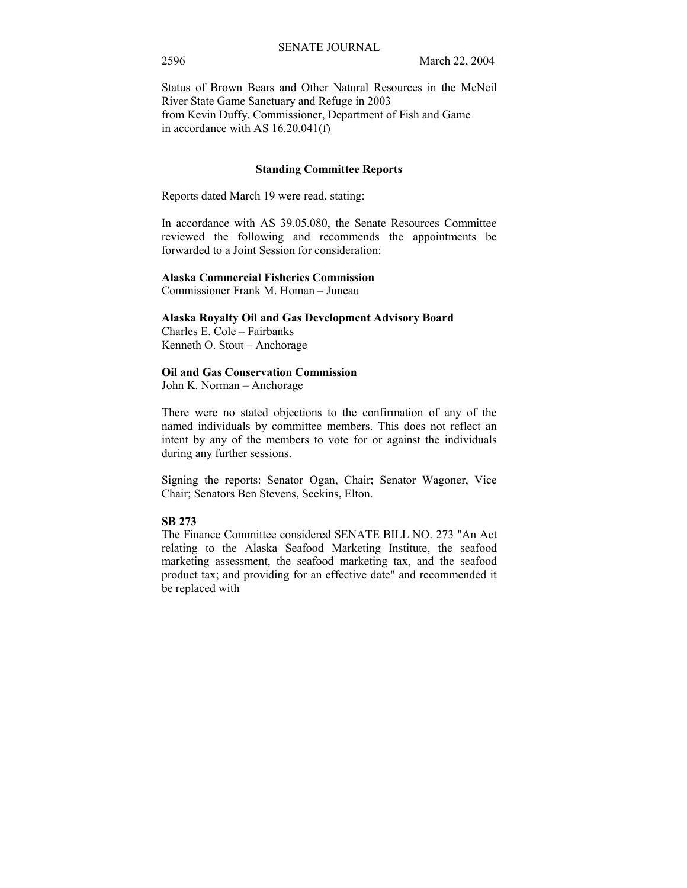Status of Brown Bears and Other Natural Resources in the McNeil River State Game Sanctuary and Refuge in 2003 from Kevin Duffy, Commissioner, Department of Fish and Game in accordance with AS 16.20.041(f)

#### **Standing Committee Reports**

Reports dated March 19 were read, stating:

In accordance with AS 39.05.080, the Senate Resources Committee reviewed the following and recommends the appointments be forwarded to a Joint Session for consideration:

#### **Alaska Commercial Fisheries Commission**  Commissioner Frank M. Homan – Juneau

**Alaska Royalty Oil and Gas Development Advisory Board**  Charles E. Cole - Fairbanks Kenneth O. Stout - Anchorage

#### **Oil and Gas Conservation Commission**

John K. Norman – Anchorage

There were no stated objections to the confirmation of any of the named individuals by committee members. This does not reflect an intent by any of the members to vote for or against the individuals during any further sessions.

Signing the reports: Senator Ogan, Chair; Senator Wagoner, Vice Chair; Senators Ben Stevens, Seekins, Elton.

## **SB 273**

The Finance Committee considered SENATE BILL NO. 273 "An Act relating to the Alaska Seafood Marketing Institute, the seafood marketing assessment, the seafood marketing tax, and the seafood product tax; and providing for an effective date" and recommended it be replaced with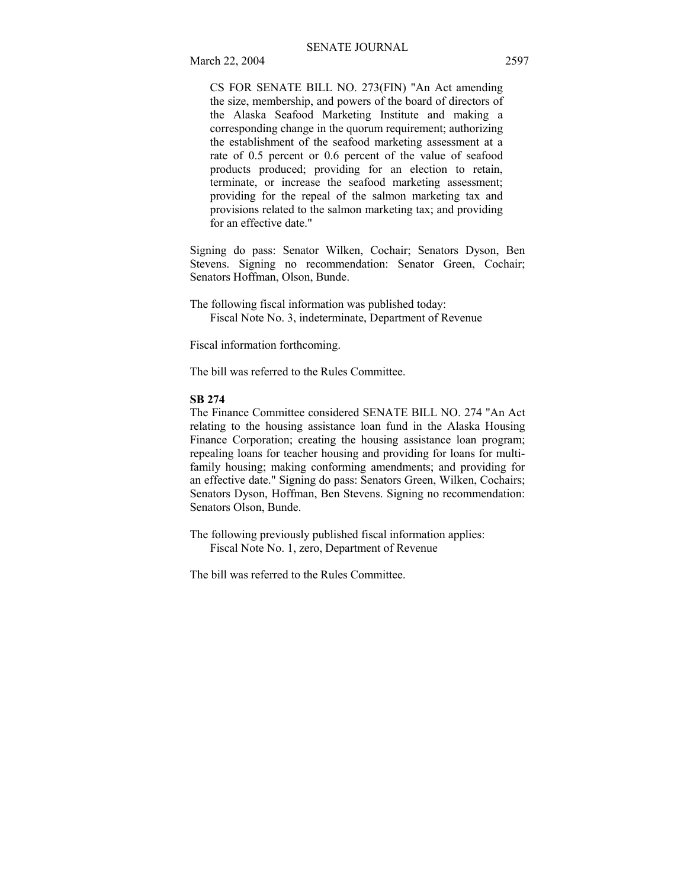CS FOR SENATE BILL NO. 273(FIN) "An Act amending the size, membership, and powers of the board of directors of the Alaska Seafood Marketing Institute and making a corresponding change in the quorum requirement; authorizing the establishment of the seafood marketing assessment at a rate of 0.5 percent or 0.6 percent of the value of seafood products produced; providing for an election to retain, terminate, or increase the seafood marketing assessment; providing for the repeal of the salmon marketing tax and provisions related to the salmon marketing tax; and providing for an effective date."

Signing do pass: Senator Wilken, Cochair; Senators Dyson, Ben Stevens. Signing no recommendation: Senator Green, Cochair; Senators Hoffman, Olson, Bunde.

The following fiscal information was published today: Fiscal Note No. 3, indeterminate, Department of Revenue

Fiscal information forthcoming.

The bill was referred to the Rules Committee.

#### **SB 274**

The Finance Committee considered SENATE BILL NO. 274 "An Act relating to the housing assistance loan fund in the Alaska Housing Finance Corporation; creating the housing assistance loan program; repealing loans for teacher housing and providing for loans for multifamily housing; making conforming amendments; and providing for an effective date." Signing do pass: Senators Green, Wilken, Cochairs; Senators Dyson, Hoffman, Ben Stevens. Signing no recommendation: Senators Olson, Bunde.

The following previously published fiscal information applies: Fiscal Note No. 1, zero, Department of Revenue

The bill was referred to the Rules Committee.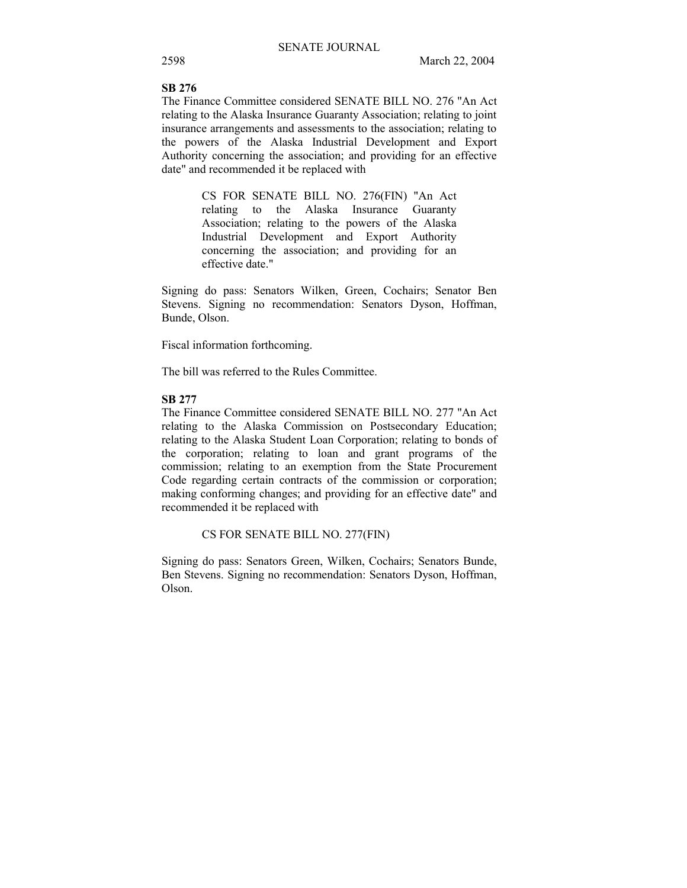# **SB 276**

The Finance Committee considered SENATE BILL NO. 276 "An Act relating to the Alaska Insurance Guaranty Association; relating to joint insurance arrangements and assessments to the association; relating to the powers of the Alaska Industrial Development and Export Authority concerning the association; and providing for an effective date" and recommended it be replaced with

> CS FOR SENATE BILL NO. 276(FIN) "An Act relating to the Alaska Insurance Guaranty Association; relating to the powers of the Alaska Industrial Development and Export Authority concerning the association; and providing for an effective date."

Signing do pass: Senators Wilken, Green, Cochairs; Senator Ben Stevens. Signing no recommendation: Senators Dyson, Hoffman, Bunde, Olson.

Fiscal information forthcoming.

The bill was referred to the Rules Committee.

#### **SB 277**

The Finance Committee considered SENATE BILL NO. 277 "An Act relating to the Alaska Commission on Postsecondary Education; relating to the Alaska Student Loan Corporation; relating to bonds of the corporation; relating to loan and grant programs of the commission; relating to an exemption from the State Procurement Code regarding certain contracts of the commission or corporation; making conforming changes; and providing for an effective date" and recommended it be replaced with

### CS FOR SENATE BILL NO. 277(FIN)

Signing do pass: Senators Green, Wilken, Cochairs; Senators Bunde, Ben Stevens. Signing no recommendation: Senators Dyson, Hoffman, Olson.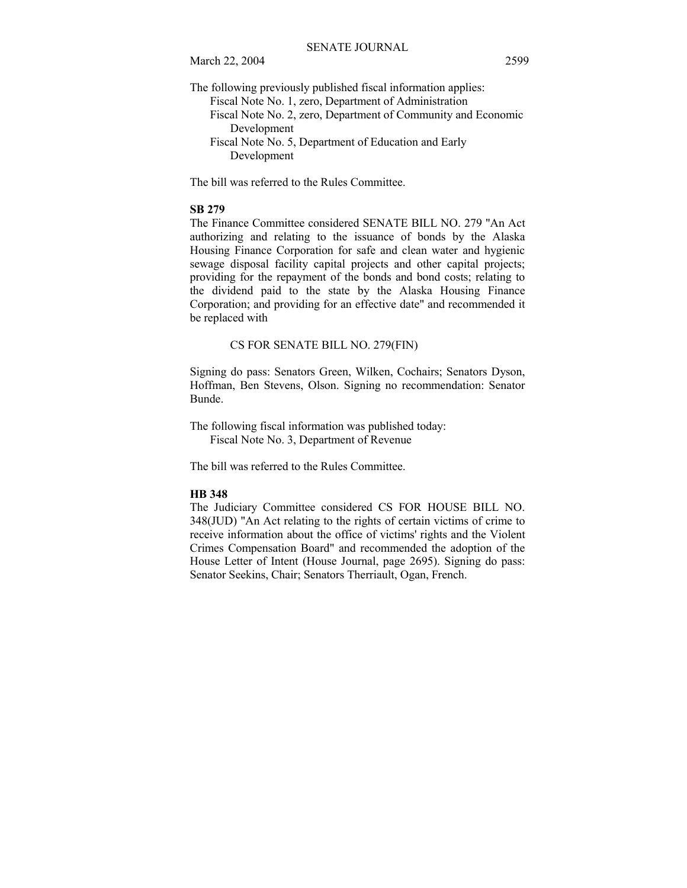March 22, 2004 2599

The following previously published fiscal information applies:

 Fiscal Note No. 1, zero, Department of Administration Fiscal Note No. 2, zero, Department of Community and Economic Development Fiscal Note No. 5, Department of Education and Early Development

The bill was referred to the Rules Committee.

## **SB 279**

The Finance Committee considered SENATE BILL NO. 279 "An Act authorizing and relating to the issuance of bonds by the Alaska Housing Finance Corporation for safe and clean water and hygienic sewage disposal facility capital projects and other capital projects; providing for the repayment of the bonds and bond costs; relating to the dividend paid to the state by the Alaska Housing Finance Corporation; and providing for an effective date" and recommended it be replaced with

CS FOR SENATE BILL NO. 279(FIN)

Signing do pass: Senators Green, Wilken, Cochairs; Senators Dyson, Hoffman, Ben Stevens, Olson. Signing no recommendation: Senator Bunde.

The following fiscal information was published today: Fiscal Note No. 3, Department of Revenue

The bill was referred to the Rules Committee.

#### **HB 348**

The Judiciary Committee considered CS FOR HOUSE BILL NO. 348(JUD) "An Act relating to the rights of certain victims of crime to receive information about the office of victims' rights and the Violent Crimes Compensation Board" and recommended the adoption of the House Letter of Intent (House Journal, page 2695). Signing do pass: Senator Seekins, Chair; Senators Therriault, Ogan, French.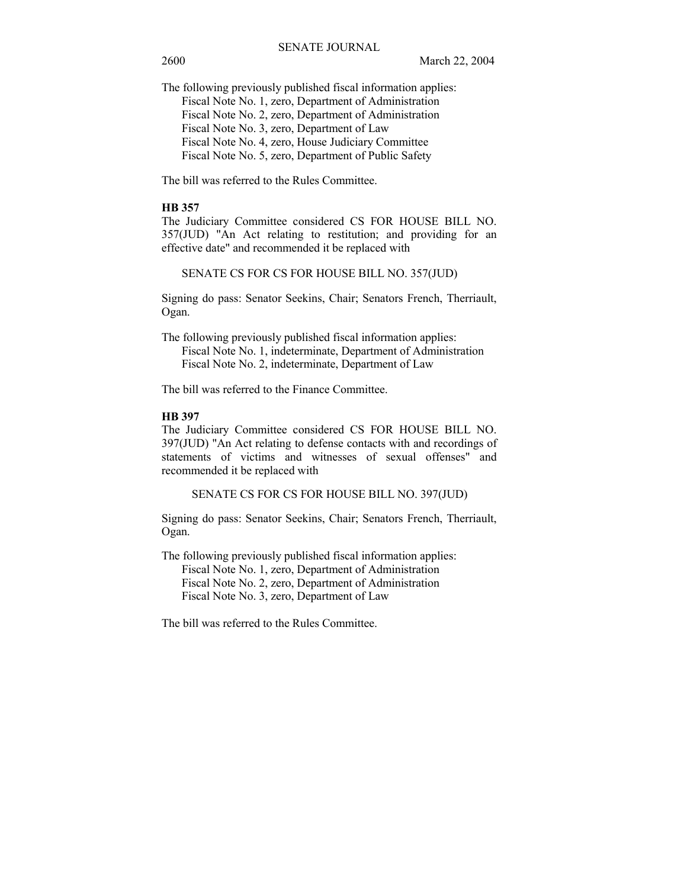The following previously published fiscal information applies: Fiscal Note No. 1, zero, Department of Administration Fiscal Note No. 2, zero, Department of Administration Fiscal Note No. 3, zero, Department of Law Fiscal Note No. 4, zero, House Judiciary Committee Fiscal Note No. 5, zero, Department of Public Safety

The bill was referred to the Rules Committee.

### **HB 357**

The Judiciary Committee considered CS FOR HOUSE BILL NO. 357(JUD) "An Act relating to restitution; and providing for an effective date" and recommended it be replaced with

SENATE CS FOR CS FOR HOUSE BILL NO. 357(JUD)

Signing do pass: Senator Seekins, Chair; Senators French, Therriault, Ogan.

The following previously published fiscal information applies: Fiscal Note No. 1, indeterminate, Department of Administration Fiscal Note No. 2, indeterminate, Department of Law

The bill was referred to the Finance Committee.

## **HB 397**

The Judiciary Committee considered CS FOR HOUSE BILL NO. 397(JUD) "An Act relating to defense contacts with and recordings of statements of victims and witnesses of sexual offenses" and recommended it be replaced with

SENATE CS FOR CS FOR HOUSE BILL NO. 397(JUD)

Signing do pass: Senator Seekins, Chair; Senators French, Therriault, Ogan.

The following previously published fiscal information applies:

 Fiscal Note No. 1, zero, Department of Administration Fiscal Note No. 2, zero, Department of Administration Fiscal Note No. 3, zero, Department of Law

The bill was referred to the Rules Committee.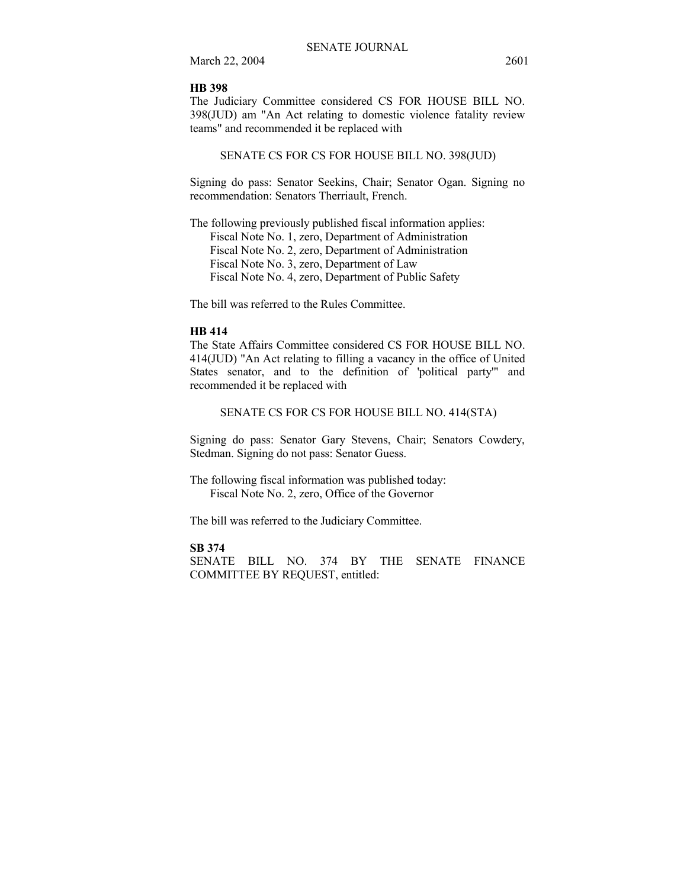March 22, 2004 2601

#### **HB 398**

The Judiciary Committee considered CS FOR HOUSE BILL NO. 398(JUD) am "An Act relating to domestic violence fatality review teams" and recommended it be replaced with

## SENATE CS FOR CS FOR HOUSE BILL NO. 398(JUD)

Signing do pass: Senator Seekins, Chair; Senator Ogan. Signing no recommendation: Senators Therriault, French.

The following previously published fiscal information applies: Fiscal Note No. 1, zero, Department of Administration Fiscal Note No. 2, zero, Department of Administration Fiscal Note No. 3, zero, Department of Law Fiscal Note No. 4, zero, Department of Public Safety

The bill was referred to the Rules Committee.

#### **HB 414**

The State Affairs Committee considered CS FOR HOUSE BILL NO. 414(JUD) "An Act relating to filling a vacancy in the office of United States senator, and to the definition of 'political party'" and recommended it be replaced with

## SENATE CS FOR CS FOR HOUSE BILL NO. 414(STA)

Signing do pass: Senator Gary Stevens, Chair; Senators Cowdery, Stedman. Signing do not pass: Senator Guess.

The following fiscal information was published today: Fiscal Note No. 2, zero, Office of the Governor

The bill was referred to the Judiciary Committee.

## **SB 374**

SENATE BILL NO. 374 BY THE SENATE FINANCE COMMITTEE BY REQUEST, entitled: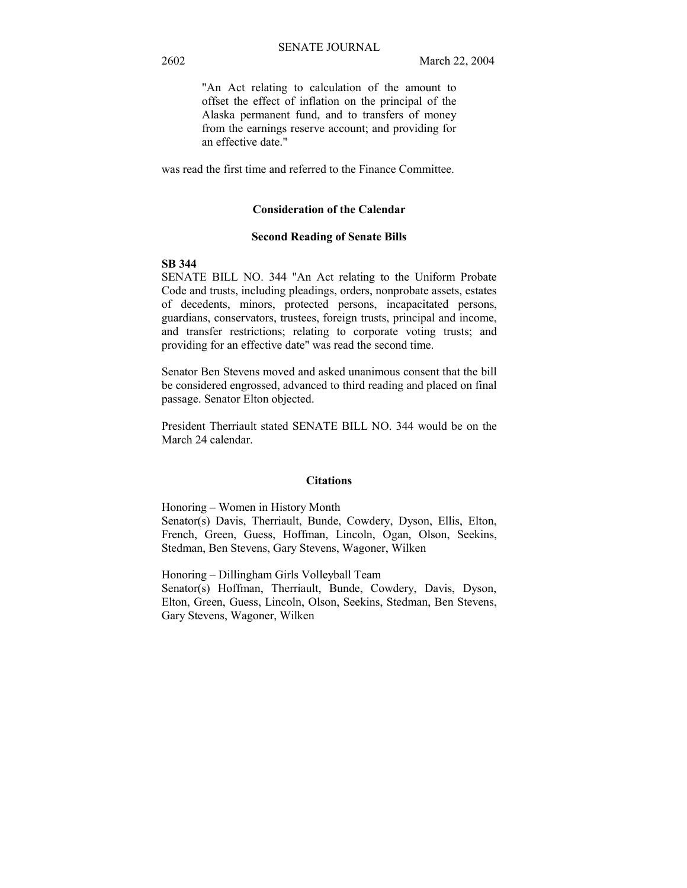"An Act relating to calculation of the amount to offset the effect of inflation on the principal of the Alaska permanent fund, and to transfers of money from the earnings reserve account; and providing for an effective date."

was read the first time and referred to the Finance Committee.

#### **Consideration of the Calendar**

#### **Second Reading of Senate Bills**

### **SB 344**

SENATE BILL NO. 344 "An Act relating to the Uniform Probate Code and trusts, including pleadings, orders, nonprobate assets, estates of decedents, minors, protected persons, incapacitated persons, guardians, conservators, trustees, foreign trusts, principal and income, and transfer restrictions; relating to corporate voting trusts; and providing for an effective date" was read the second time.

Senator Ben Stevens moved and asked unanimous consent that the bill be considered engrossed, advanced to third reading and placed on final passage. Senator Elton objected.

President Therriault stated SENATE BILL NO. 344 would be on the March 24 calendar.

## **Citations**

Honoring – Women in History Month Senator(s) Davis, Therriault, Bunde, Cowdery, Dyson, Ellis, Elton, French, Green, Guess, Hoffman, Lincoln, Ogan, Olson, Seekins, Stedman, Ben Stevens, Gary Stevens, Wagoner, Wilken

Honoring – Dillingham Girls Volleyball Team Senator(s) Hoffman, Therriault, Bunde, Cowdery, Davis, Dyson, Elton, Green, Guess, Lincoln, Olson, Seekins, Stedman, Ben Stevens, Gary Stevens, Wagoner, Wilken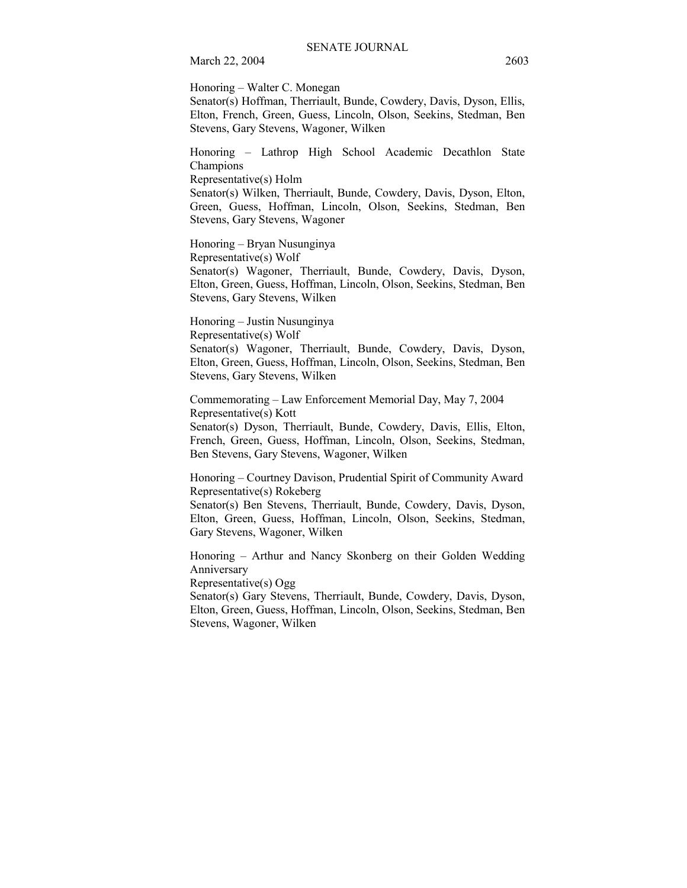Honoring – Walter C. Monegan

Senator(s) Hoffman, Therriault, Bunde, Cowdery, Davis, Dyson, Ellis, Elton, French, Green, Guess, Lincoln, Olson, Seekins, Stedman, Ben Stevens, Gary Stevens, Wagoner, Wilken

Honoring - Lathrop High School Academic Decathlon State Champions

Representative(s) Holm

Senator(s) Wilken, Therriault, Bunde, Cowdery, Davis, Dyson, Elton, Green, Guess, Hoffman, Lincoln, Olson, Seekins, Stedman, Ben Stevens, Gary Stevens, Wagoner

Honoring – Bryan Nusunginya Representative(s) Wolf

Senator(s) Wagoner, Therriault, Bunde, Cowdery, Davis, Dyson, Elton, Green, Guess, Hoffman, Lincoln, Olson, Seekins, Stedman, Ben Stevens, Gary Stevens, Wilken

Honoring – Justin Nusunginya Representative(s) Wolf Senator(s) Wagoner, Therriault, Bunde, Cowdery, Davis, Dyson, Elton, Green, Guess, Hoffman, Lincoln, Olson, Seekins, Stedman, Ben Stevens, Gary Stevens, Wilken

Commemorating – Law Enforcement Memorial Day, May 7, 2004 Representative(s) Kott Senator(s) Dyson, Therriault, Bunde, Cowdery, Davis, Ellis, Elton,

French, Green, Guess, Hoffman, Lincoln, Olson, Seekins, Stedman, Ben Stevens, Gary Stevens, Wagoner, Wilken

Honoring – Courtney Davison, Prudential Spirit of Community Award Representative(s) Rokeberg

Senator(s) Ben Stevens, Therriault, Bunde, Cowdery, Davis, Dyson, Elton, Green, Guess, Hoffman, Lincoln, Olson, Seekins, Stedman, Gary Stevens, Wagoner, Wilken

Honoring – Arthur and Nancy Skonberg on their Golden Wedding Anniversary

Representative(s) Ogg

Senator(s) Gary Stevens, Therriault, Bunde, Cowdery, Davis, Dyson, Elton, Green, Guess, Hoffman, Lincoln, Olson, Seekins, Stedman, Ben Stevens, Wagoner, Wilken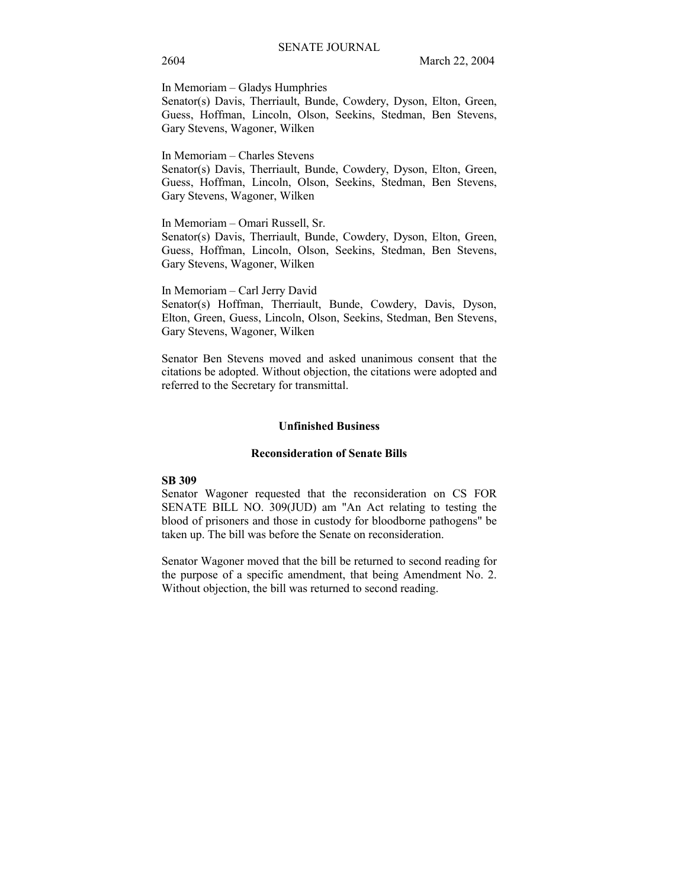In Memoriam – Gladys Humphries

Senator(s) Davis, Therriault, Bunde, Cowdery, Dyson, Elton, Green, Guess, Hoffman, Lincoln, Olson, Seekins, Stedman, Ben Stevens, Gary Stevens, Wagoner, Wilken

In Memoriam – Charles Stevens

Senator(s) Davis, Therriault, Bunde, Cowdery, Dyson, Elton, Green, Guess, Hoffman, Lincoln, Olson, Seekins, Stedman, Ben Stevens, Gary Stevens, Wagoner, Wilken

In Memoriam – Omari Russell, Sr.

Senator(s) Davis, Therriault, Bunde, Cowdery, Dyson, Elton, Green, Guess, Hoffman, Lincoln, Olson, Seekins, Stedman, Ben Stevens, Gary Stevens, Wagoner, Wilken

In Memoriam - Carl Jerry David Senator(s) Hoffman, Therriault, Bunde, Cowdery, Davis, Dyson, Elton, Green, Guess, Lincoln, Olson, Seekins, Stedman, Ben Stevens, Gary Stevens, Wagoner, Wilken

Senator Ben Stevens moved and asked unanimous consent that the citations be adopted. Without objection, the citations were adopted and referred to the Secretary for transmittal.

#### **Unfinished Business**

#### **Reconsideration of Senate Bills**

## **SB 309**

Senator Wagoner requested that the reconsideration on CS FOR SENATE BILL NO. 309(JUD) am "An Act relating to testing the blood of prisoners and those in custody for bloodborne pathogens" be taken up. The bill was before the Senate on reconsideration.

Senator Wagoner moved that the bill be returned to second reading for the purpose of a specific amendment, that being Amendment No. 2. Without objection, the bill was returned to second reading.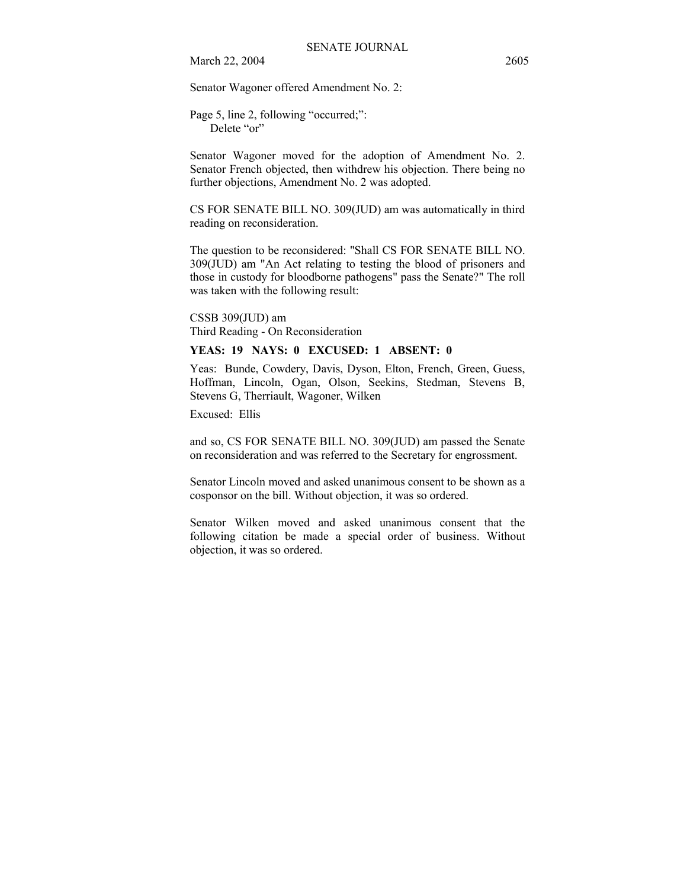March 22, 2004 2605

Senator Wagoner offered Amendment No. 2:

Page 5, line 2, following "occurred;": Delete "or"

Senator Wagoner moved for the adoption of Amendment No. 2. Senator French objected, then withdrew his objection. There being no further objections, Amendment No. 2 was adopted.

CS FOR SENATE BILL NO. 309(JUD) am was automatically in third reading on reconsideration.

The question to be reconsidered: "Shall CS FOR SENATE BILL NO. 309(JUD) am "An Act relating to testing the blood of prisoners and those in custody for bloodborne pathogens" pass the Senate?" The roll was taken with the following result:

CSSB 309(JUD) am Third Reading - On Reconsideration

# **YEAS: 19 NAYS: 0 EXCUSED: 1 ABSENT: 0**

Yeas: Bunde, Cowdery, Davis, Dyson, Elton, French, Green, Guess, Hoffman, Lincoln, Ogan, Olson, Seekins, Stedman, Stevens B, Stevens G, Therriault, Wagoner, Wilken

Excused: Ellis

and so, CS FOR SENATE BILL NO. 309(JUD) am passed the Senate on reconsideration and was referred to the Secretary for engrossment.

Senator Lincoln moved and asked unanimous consent to be shown as a cosponsor on the bill. Without objection, it was so ordered.

Senator Wilken moved and asked unanimous consent that the following citation be made a special order of business. Without objection, it was so ordered.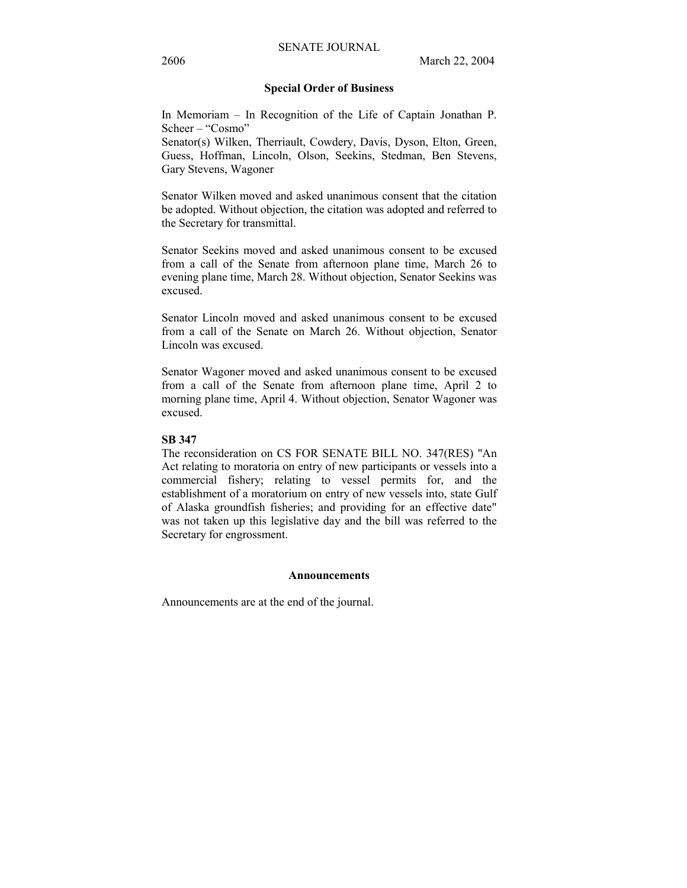#### **Special Order of Business**

In Memoriam  $-$  In Recognition of the Life of Captain Jonathan P.  $Scheer - "Cosmo"$ 

Senator(s) Wilken, Therriault, Cowdery, Davis, Dyson, Elton, Green, Guess, Hoffman, Lincoln, Olson, Seekins, Stedman, Ben Stevens, Gary Stevens, Wagoner

Senator Wilken moved and asked unanimous consent that the citation be adopted. Without objection, the citation was adopted and referred to the Secretary for transmittal.

Senator Seekins moved and asked unanimous consent to be excused from a call of the Senate from afternoon plane time, March 26 to evening plane time, March 28. Without objection, Senator Seekins was excused.

Senator Lincoln moved and asked unanimous consent to be excused from a call of the Senate on March 26. Without objection, Senator Lincoln was excused.

Senator Wagoner moved and asked unanimous consent to be excused from a call of the Senate from afternoon plane time, April 2 to morning plane time, April 4. Without objection, Senator Wagoner was excused.

#### **SB 347**

The reconsideration on CS FOR SENATE BILL NO. 347(RES) "An Act relating to moratoria on entry of new participants or vessels into a commercial fishery; relating to vessel permits for, and the establishment of a moratorium on entry of new vessels into, state Gulf of Alaska groundfish fisheries; and providing for an effective date" was not taken up this legislative day and the bill was referred to the Secretary for engrossment.

#### **Announcements**

Announcements are at the end of the journal.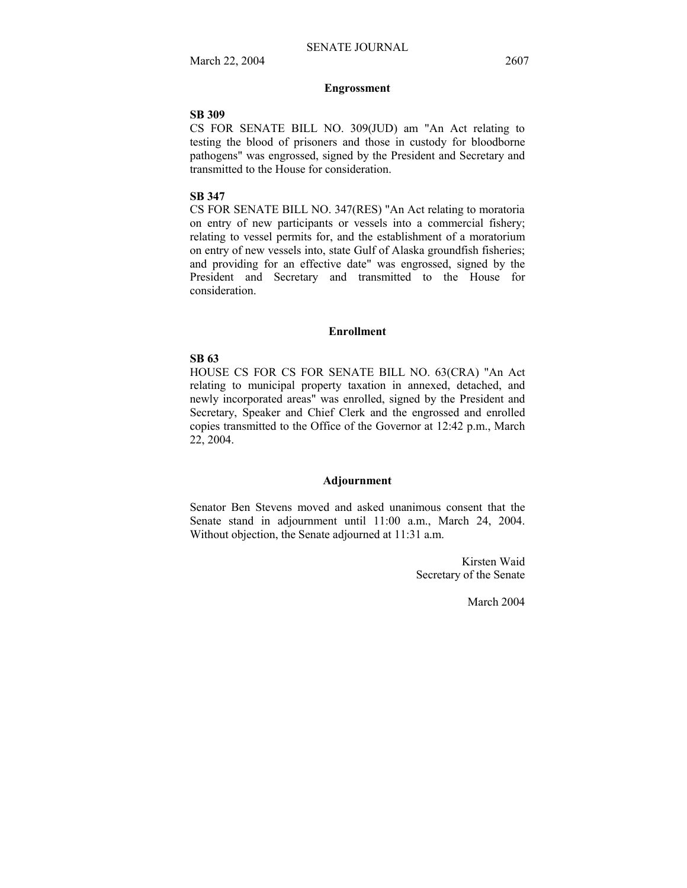### **Engrossment**

# **SB 309**

CS FOR SENATE BILL NO. 309(JUD) am "An Act relating to testing the blood of prisoners and those in custody for bloodborne pathogens" was engrossed, signed by the President and Secretary and transmitted to the House for consideration.

#### **SB 347**

CS FOR SENATE BILL NO. 347(RES) "An Act relating to moratoria on entry of new participants or vessels into a commercial fishery; relating to vessel permits for, and the establishment of a moratorium on entry of new vessels into, state Gulf of Alaska groundfish fisheries; and providing for an effective date" was engrossed, signed by the President and Secretary and transmitted to the House for consideration.

#### **Enrollment**

#### **SB 63**

HOUSE CS FOR CS FOR SENATE BILL NO. 63(CRA) "An Act relating to municipal property taxation in annexed, detached, and newly incorporated areas" was enrolled, signed by the President and Secretary, Speaker and Chief Clerk and the engrossed and enrolled copies transmitted to the Office of the Governor at 12:42 p.m., March 22, 2004.

#### **Adjournment**

Senator Ben Stevens moved and asked unanimous consent that the Senate stand in adjournment until 11:00 a.m., March 24, 2004. Without objection, the Senate adjourned at 11:31 a.m.

> Kirsten Waid Secretary of the Senate

> > March 2004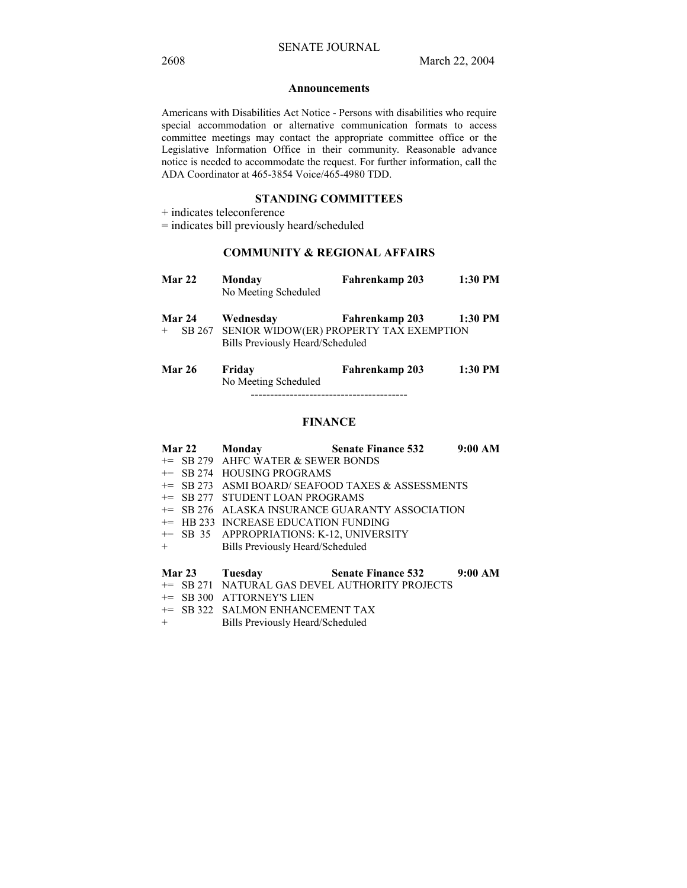#### **Announcements**

Americans with Disabilities Act Notice - Persons with disabilities who require special accommodation or alternative communication formats to access committee meetings may contact the appropriate committee office or the Legislative Information Office in their community. Reasonable advance notice is needed to accommodate the request. For further information, call the ADA Coordinator at 465-3854 Voice/465-4980 TDD.

## **STANDING COMMITTEES**

+ indicates teleconference

= indicates bill previously heard/scheduled

## **COMMUNITY & REGIONAL AFFAIRS**

| <b>Mar 22</b> | Monday<br>No Meeting Scheduled | Fahrenkamp 203 | 1:30 PM |
|---------------|--------------------------------|----------------|---------|
| <b>Mar 24</b> | Wednesday                      | Fahrenkamp 203 | 1:30 PM |

- + SB 267 SENIOR WIDOW(ER) PROPERTY TAX EXEMPTION Bills Previously Heard/Scheduled
- **Mar 26 Friday Fahrenkamp 203 1:30 PM**  No Meeting Scheduled ----------------------------------------

## **FINANCE**

|        | <b>Mar 22</b> | Monday                                    | <b>Senate Finance 532</b>                                  | 9:00 AM |
|--------|---------------|-------------------------------------------|------------------------------------------------------------|---------|
|        |               | $+=$ SB 279 AHFC WATER & SEWER BONDS      |                                                            |         |
|        |               | $+=$ SB 274 HOUSING PROGRAMS              |                                                            |         |
|        |               |                                           | $+=$ SB 273 ASMI BOARD/SEAFOOD TAXES & ASSESSMENTS         |         |
|        |               | += SB 277 STUDENT LOAN PROGRAMS           |                                                            |         |
|        |               |                                           | <sup>+=</sup> SB 276 ALASKA INSURANCE GUARANTY ASSOCIATION |         |
|        |               | $+=$ HB 233 INCREASE EDUCATION FUNDING    |                                                            |         |
|        |               | += SB 35 APPROPRIATIONS: K-12, UNIVERSITY |                                                            |         |
| $+$    |               | Bills Previously Heard/Scheduled          |                                                            |         |
| Mar 23 |               | Tuesday                                   | <b>Senate Finance 532</b>                                  | 9:00 AM |
|        |               |                                           | += SB 271 NATURAL GAS DEVEL AUTHORITY PROJECTS             |         |

- += SB 300 ATTORNEY'S LIEN
- += SB 322 SALMON ENHANCEMENT TAX<br>+ Bills Previously Heard/Scheduled
- Bills Previously Heard/Scheduled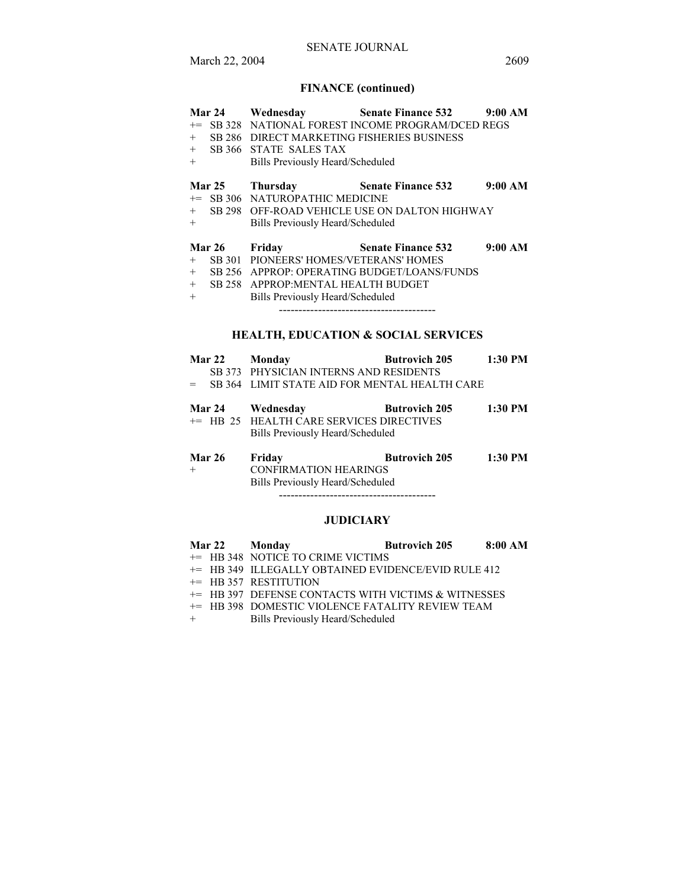## SENATE JOURNAL

# **FINANCE (continued)**

|        | <b>Mar 24</b> | Wednesday                                  | <b>Senate Finance 532</b>                          | 9:00 AM |
|--------|---------------|--------------------------------------------|----------------------------------------------------|---------|
|        |               |                                            | += SB 328 NATIONAL FOREST INCOME PROGRAM/DCED REGS |         |
| $+$    |               | SB 286 DIRECT MARKETING FISHERIES BUSINESS |                                                    |         |
| $+$    |               | SB 366 STATE SALES TAX                     |                                                    |         |
| $+$    |               | Bills Previously Heard/Scheduled           |                                                    |         |
|        | <b>Mar 25</b> | Thursday                                   | <b>Senate Finance 532</b>                          | 9:00 AM |
|        |               | += SB 306 NATUROPATHIC MEDICINE            |                                                    |         |
| $+$    |               |                                            | SB 298 OFF-ROAD VEHICLE USE ON DALTON HIGHWAY      |         |
| $^{+}$ |               | Bills Previously Heard/Scheduled           |                                                    |         |
|        | <b>Mar 26</b> | Friday                                     | <b>Senate Finance 532</b>                          | 9:00 AM |
| $+$    |               | SB 301 PIONEERS' HOMES/VETERANS' HOMES     |                                                    |         |
| $+$    |               |                                            | SB 256 APPROP: OPERATING BUDGET/LOANS/FUNDS        |         |
| $+$    |               | SB 258 APPROP: MENTAL HEALTH BUDGET        |                                                    |         |
| $+$    |               | Bills Previously Heard/Scheduled           |                                                    |         |
|        |               |                                            | -------------------------------------              |         |
|        |               |                                            |                                                    |         |

## **HEALTH, EDUCATION & SOCIAL SERVICES**

|                 | Mar 22 Monday                                                                                    | Butrovich 205 1:30 PM |         |  |
|-----------------|--------------------------------------------------------------------------------------------------|-----------------------|---------|--|
|                 | SB 373 PHYSICIAN INTERNS AND RESIDENTS                                                           |                       |         |  |
|                 | $=$ SB 364 LIMIT STATE AID FOR MENTAL HEALTH CARE                                                |                       |         |  |
|                 | Mar 24 Wednesday<br>+= HB 25 HEALTH CARE SERVICES DIRECTIVES<br>Bills Previously Heard/Scheduled | <b>Butrovich 205</b>  | 1:30 PM |  |
| Mar 26 - Friday |                                                                                                  | Rutrovich 205         | 1.30 PM |  |

| Mar zo | г гійау                          | DULFOVICII 205 | 1:30 F.VI |
|--------|----------------------------------|----------------|-----------|
| $+$    | <b>CONFIRMATION HEARINGS</b>     |                |           |
|        | Bills Previously Heard/Scheduled |                |           |
|        |                                  |                |           |

----------------------------------------

## **JUDICIARY**

| <b>Mar 22</b> | Mondav | <b>Butrovich 205</b> | 8:00 AM |
|---------------|--------|----------------------|---------|
|               |        |                      |         |

- += HB 348 NOTICE TO CRIME VICTIMS
- += HB 349 ILLEGALLY OBTAINED EVIDENCE/EVID RULE 412
- += HB 357 RESTITUTION
- += HB 397 DEFENSE CONTACTS WITH VICTIMS & WITNESSES
- += HB 398 DOMESTIC VIOLENCE FATALITY REVIEW TEAM
- + Bills Previously Heard/Scheduled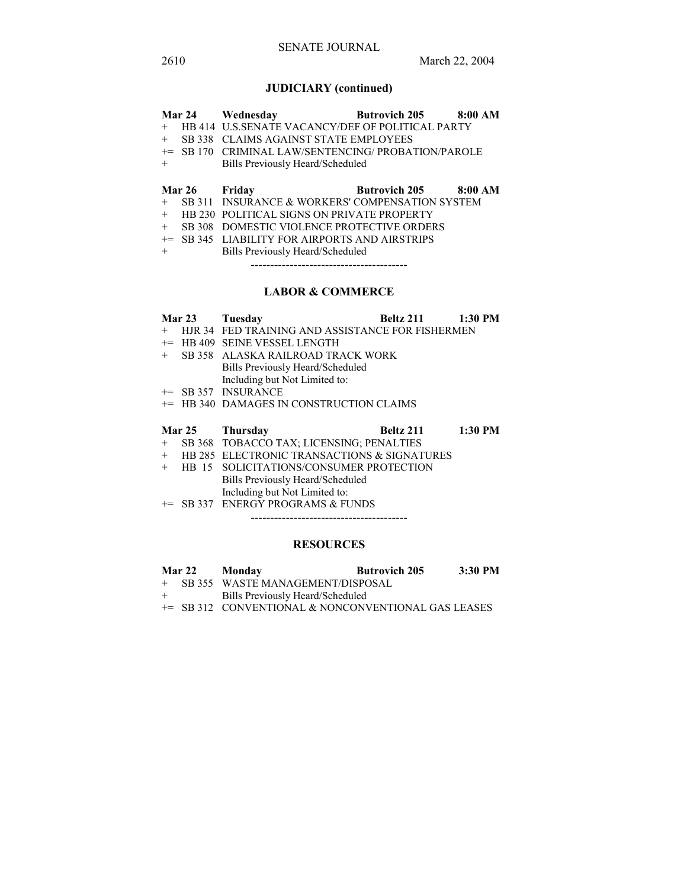# **JUDICIARY (continued)**

|      | <b>Mar 24</b> | Wednesday                                         | <b>Butrovich 205</b> | 8:00 AM |
|------|---------------|---------------------------------------------------|----------------------|---------|
| $+$  |               | HB 414 U.S. SENATE VACANCY/DEF OF POLITICAL PARTY |                      |         |
| $+$  | SB 338        | <b>CLAIMS AGAINST STATE EMPLOYEES</b>             |                      |         |
| $+=$ | SB 170        | CRIMINAL LAW/SENTENCING/ PROBATION/PAROLE         |                      |         |
| $+$  |               | Bills Previously Heard/Scheduled                  |                      |         |
|      |               |                                                   |                      |         |
|      |               |                                                   |                      |         |
|      | Mar 26 Friday |                                                   | <b>Butrovich 205</b> | 8:00 AM |
| $+$  |               | SB 311 INSURANCE & WORKERS' COMPENSATION SYSTEM   |                      |         |
| $+$  |               | <b>HB 230 POLITICAL SIGNS ON PRIVATE PROPERTY</b> |                      |         |
| $+$  | SB 308        | DOMESTIC VIOLENCE PROTECTIVE ORDERS               |                      |         |
| $+=$ |               | SB 345 LIABILITY FOR AIRPORTS AND AIRSTRIPS       |                      |         |
| $+$  |               | Bills Previously Heard/Scheduled                  |                      |         |

----------------------------------------

# **LABOR & COMMERCE**

|        | Mar 23        | Tuesday                                          | Beltz 211 | $1:30$ PM |
|--------|---------------|--------------------------------------------------|-----------|-----------|
| $^{+}$ |               | HJR 34 FED TRAINING AND ASSISTANCE FOR FISHERMEN |           |           |
| $+=$   |               | <b>HB 409 SEINE VESSEL LENGTH</b>                |           |           |
| $^{+}$ |               | SB 358 ALASKA RAILROAD TRACK WORK                |           |           |
|        |               | Bills Previously Heard/Scheduled                 |           |           |
|        |               | Including but Not Limited to:                    |           |           |
|        |               | $+=$ SB 357 INSURANCE                            |           |           |
| $+=$   |               | <b>HB 340 DAMAGES IN CONSTRUCTION CLAIMS</b>     |           |           |
|        |               |                                                  |           |           |
|        |               |                                                  |           |           |
|        | <b>Mar 25</b> | Thursday                                         | Beltz 211 | $1:30$ PM |
| $+$    |               | SB 368 TOBACCO TAX; LICENSING; PENALTIES         |           |           |
| $^{+}$ |               | HB 285 ELECTRONIC TRANSACTIONS & SIGNATURES      |           |           |
| $^{+}$ | HB 15         | SOLICITATIONS/CONSUMER PROTECTION                |           |           |
|        |               | Bills Previously Heard/Scheduled                 |           |           |
|        |               | Including but Not Limited to:                    |           |           |

----------------------------------------

## **RESOURCES**

|     | <b>Mar 22</b> | Monday                                              | <b>Butrovich 205</b> | 3:30 PM |
|-----|---------------|-----------------------------------------------------|----------------------|---------|
|     |               | + SB 355 WASTE MANAGEMENT/DISPOSAL                  |                      |         |
| $+$ |               | Bills Previously Heard/Scheduled                    |                      |         |
|     |               | += SB 312 CONVENTIONAL & NONCONVENTIONAL GAS LEASES |                      |         |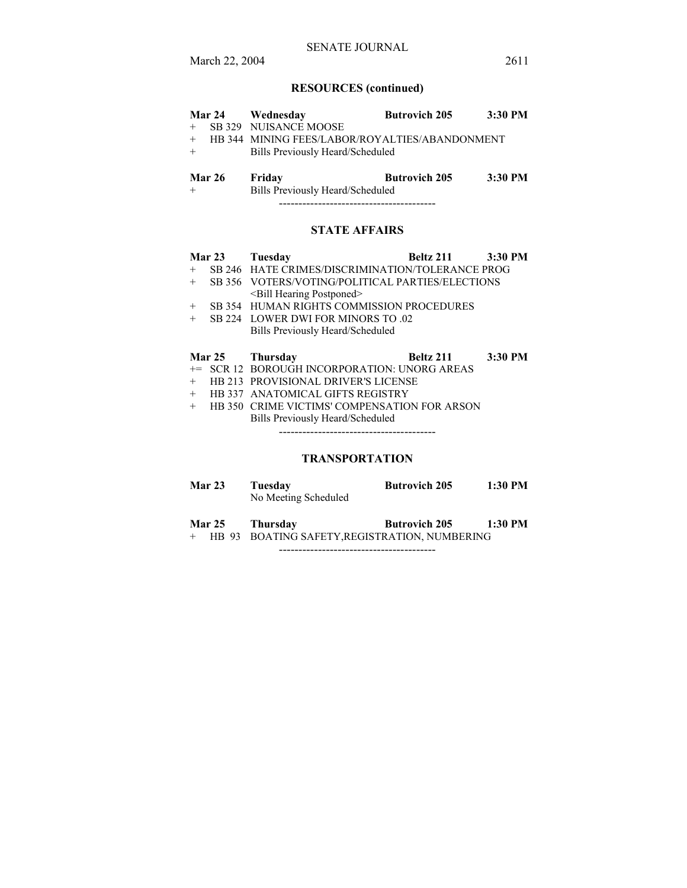# SENATE JOURNAL

# **RESOURCES (continued)**

|               | Mar 24 Wednesday                               | <b>Butrovich 205</b> | 3:30 PM |
|---------------|------------------------------------------------|----------------------|---------|
| $+$           | SB 329 NUISANCE MOOSE                          |                      |         |
| $+$           | HB 344 MINING FEES/LABOR/ROYALTIES/ABANDONMENT |                      |         |
| $+$           | Bills Previously Heard/Scheduled               |                      |         |
|               |                                                |                      |         |
| <b>Mar 26</b> | Friday                                         | <b>Butrovich 205</b> | 3:30 PM |
| $+$           | Bills Previously Heard/Scheduled               |                      |         |
|               |                                                |                      |         |

# **STATE AFFAIRS**

|        | Mar 23        | Tuesday<br>Beltz 211                             | 3:30 PM |
|--------|---------------|--------------------------------------------------|---------|
| $^{+}$ |               | SB 246 HATE CRIMES/DISCRIMINATION/TOLERANCE PROG |         |
| $+$    |               | SB 356 VOTERS/VOTING/POLITICAL PARTIES/ELECTIONS |         |
|        |               | <bill hearing="" postponed=""></bill>            |         |
| $+$    |               | SB 354 HUMAN RIGHTS COMMISSION PROCEDURES        |         |
| $^{+}$ |               | SB 224 LOWER DWI FOR MINORS TO .02               |         |
|        |               | Bills Previously Heard/Scheduled                 |         |
|        | <b>Mar 25</b> | Beltz 211<br><b>Thursday</b>                     | 3:30 PM |
|        |               | += SCR 12 BOROUGH INCORPORATION: UNORG AREAS     |         |
| $+$    |               | <b>HB 213 PROVISIONAL DRIVER'S LICENSE</b>       |         |
| $+$    |               | <b>HB 337 ANATOMICAL GIFTS REGISTRY</b>          |         |
| ┶      |               | HR 350 CRIME VICTIMS' COMPENSATION EOR ARSON     |         |

+ HB 350 CRIME VICTIMS' COMPENSATION FOR ARSON Bills Previously Heard/Scheduled ----------------------------------------

# **TRANSPORTATION**

| Mar 23 | Tuesday              | <b>Butrovich 205</b> | 1:30 PM |
|--------|----------------------|----------------------|---------|
|        | No Meeting Scheduled |                      |         |

**Mar 25 Thursday Butrovich 205 1:30 PM**  + HB 93 BOATING SAFETY,REGISTRATION, NUMBERING

----------------------------------------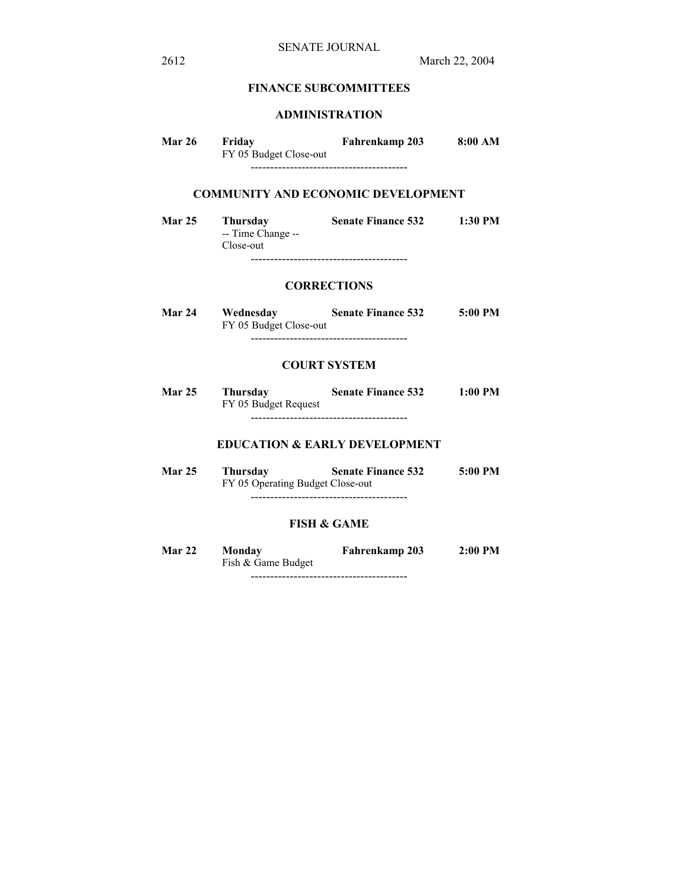# **FINANCE SUBCOMMITTEES**

## **ADMINISTRATION**

| <b>Mar 26</b> | Friday<br>FY 05 Budget Close-out | Fahrenkamp 203 | 8:00 AM |  |
|---------------|----------------------------------|----------------|---------|--|
|               |                                  |                |         |  |

# **COMMUNITY AND ECONOMIC DEVELOPMENT**

**Mar 25 Thursday Senate Finance 532 1:30 PM**  -- Time Change -- Close-out ----------------------------------------

## **CORRECTIONS**

**Mar 24 Wednesday Senate Finance 532 5:00 PM**  FY 05 Budget Close-out ----------------------------------------

#### **COURT SYSTEM**

**Mar 25 Thursday Senate Finance 532 1:00 PM**  FY 05 Budget Request ----------------------------------------

# **EDUCATION & EARLY DEVELOPMENT**

| <b>Mar 25</b> | Thursday | <b>Senate Finance 532</b>        | 5:00 PM |
|---------------|----------|----------------------------------|---------|
|               |          | FY 05 Operating Budget Close-out |         |
|               |          |                                  |         |

## **FISH & GAME**

**Mar 22 Monday Fahrenkamp 203 2:00 PM**  Fish & Game Budget ----------------------------------------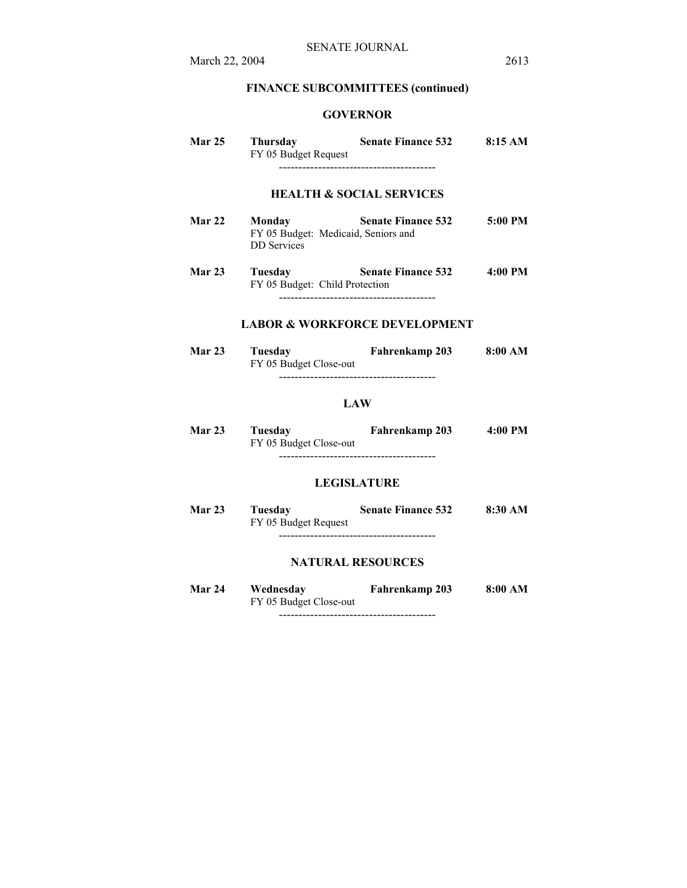# **FINANCE SUBCOMMITTEES (continued)**

# **GOVERNOR**

| <b>Mar 25</b> | Thursday<br>FY 05 Budget Request                                    | <b>Senate Finance 532</b>                                        | 8:15AM            |
|---------------|---------------------------------------------------------------------|------------------------------------------------------------------|-------------------|
| Mar 22        | Monday<br>FY 05 Budget: Medicaid, Seniors and<br><b>DD</b> Services | <b>HEALTH &amp; SOCIAL SERVICES</b><br><b>Senate Finance 532</b> | $5:00 \text{ PM}$ |

**Mar 23 Tuesday Senate Finance 532 4:00 PM**  FY 05 Budget: Child Protection ----------------------------------------

# **LABOR & WORKFORCE DEVELOPMENT**

| Mar 23 | Tuesdav<br>FY 05 Budget Close-out | Fahrenkamp 203 | 8:00 AM |
|--------|-----------------------------------|----------------|---------|
|        |                                   |                |         |

### **LAW**

| <b>Mar 23</b> | Tuesday                | Fahrenkamp 203 | 4:00 PM |
|---------------|------------------------|----------------|---------|
|               | FY 05 Budget Close-out |                |         |
|               |                        |                |         |

# **LEGISLATURE**

| <b>Mar 23</b> | Tuesdav              | <b>Senate Finance 532</b> | 8:30 AM |
|---------------|----------------------|---------------------------|---------|
|               | FY 05 Budget Request |                           |         |
|               |                      |                           |         |

# **NATURAL RESOURCES**

| Mar 24 | Wednesday              | Fahrenkamp 203 | 8:00 AM |
|--------|------------------------|----------------|---------|
|        | FY 05 Budget Close-out |                |         |
|        |                        |                |         |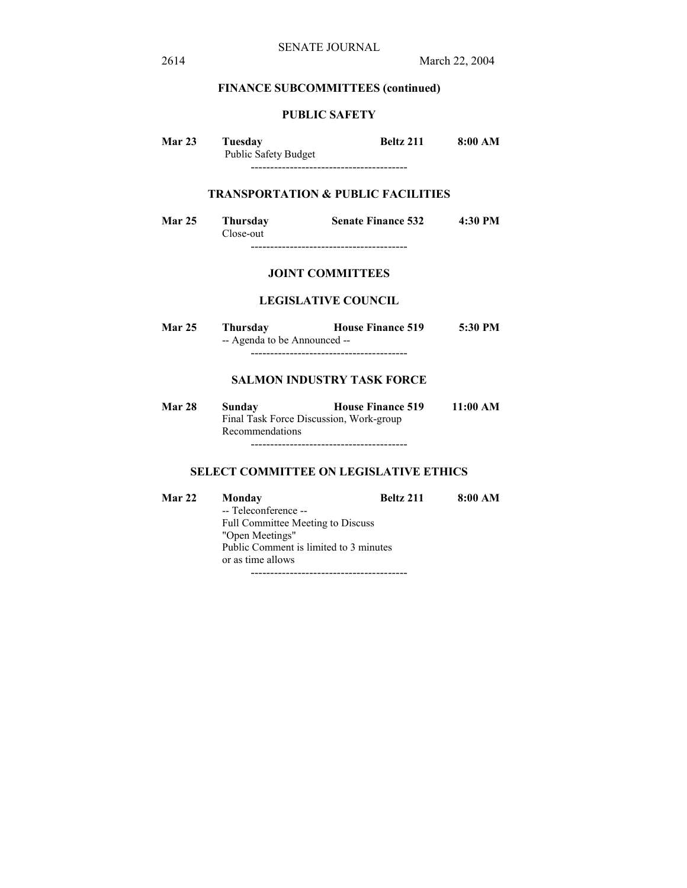# **FINANCE SUBCOMMITTEES (continued)**

# **PUBLIC SAFETY**

| Mar 23 | Tuesdav                     | Beltz 211 | 8:00 AM |
|--------|-----------------------------|-----------|---------|
|        | <b>Public Safety Budget</b> |           |         |
|        |                             |           |         |

# **TRANSPORTATION & PUBLIC FACILITIES**

| <b>Mar 25</b> | <b>Thursday</b><br>Close-out | <b>Senate Finance 532</b> | 4:30 PM |
|---------------|------------------------------|---------------------------|---------|
|               |                              |                           |         |

## **JOINT COMMITTEES**

### **LEGISLATIVE COUNCIL**

| <b>Mar 25</b> | Thursdav                     | <b>House Finance 519</b> | 5:30 PM |
|---------------|------------------------------|--------------------------|---------|
|               | -- Agenda to be Announced -- |                          |         |
|               |                              |                          |         |

# **SALMON INDUSTRY TASK FORCE**

| Mar 28 | Sunday                                  | <b>House Finance 519</b> | 11:00 AM |
|--------|-----------------------------------------|--------------------------|----------|
|        | Final Task Force Discussion, Work-group |                          |          |
|        | Recommendations                         |                          |          |

----------------------------------------

# **SELECT COMMITTEE ON LEGISLATIVE ETHICS**

| <b>Mar 22</b> | Monday                                   | <b>Beltz 211</b> | 8:00 AM |
|---------------|------------------------------------------|------------------|---------|
|               | -- Teleconference --                     |                  |         |
|               | <b>Full Committee Meeting to Discuss</b> |                  |         |
|               | "Open Meetings"                          |                  |         |
|               | Public Comment is limited to 3 minutes   |                  |         |
|               | or as time allows                        |                  |         |
|               |                                          |                  |         |